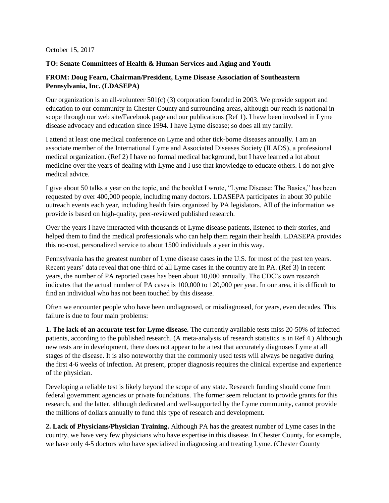#### October 15, 2017

### **TO: Senate Committees of Health & Human Services and Aging and Youth**

## **FROM: Doug Fearn, Chairman/President, Lyme Disease Association of Southeastern Pennsylvania, Inc. (LDASEPA)**

Our organization is an all-volunteer  $501(c)$  (3) corporation founded in 2003. We provide support and education to our community in Chester County and surrounding areas, although our reach is national in scope through our web site/Facebook page and our publications (Ref 1). I have been involved in Lyme disease advocacy and education since 1994. I have Lyme disease; so does all my family.

I attend at least one medical conference on Lyme and other tick-borne diseases annually. I am an associate member of the International Lyme and Associated Diseases Society (ILADS), a professional medical organization. (Ref 2) I have no formal medical background, but I have learned a lot about medicine over the years of dealing with Lyme and I use that knowledge to educate others. I do not give medical advice.

I give about 50 talks a year on the topic, and the booklet I wrote, "Lyme Disease: The Basics," has been requested by over 400,000 people, including many doctors. LDASEPA participates in about 30 public outreach events each year, including health fairs organized by PA legislators. All of the information we provide is based on high-quality, peer-reviewed published research.

Over the years I have interacted with thousands of Lyme disease patients, listened to their stories, and helped them to find the medical professionals who can help them regain their health. LDASEPA provides this no-cost, personalized service to about 1500 individuals a year in this way.

Pennsylvania has the greatest number of Lyme disease cases in the U.S. for most of the past ten years. Recent years' data reveal that one-third of all Lyme cases in the country are in PA. (Ref 3) In recent years, the number of PA reported cases has been about 10,000 annually. The CDC's own research indicates that the actual number of PA cases is 100,000 to 120,000 per year. In our area, it is difficult to find an individual who has not been touched by this disease.

Often we encounter people who have been undiagnosed, or misdiagnosed, for years, even decades. This failure is due to four main problems:

**1. The lack of an accurate test for Lyme disease.** The currently available tests miss 20-50% of infected patients, according to the published research. (A meta-analysis of research statistics is in Ref 4.) Although new tests are in development, there does not appear to be a test that accurately diagnoses Lyme at all stages of the disease. It is also noteworthy that the commonly used tests will always be negative during the first 4-6 weeks of infection. At present, proper diagnosis requires the clinical expertise and experience of the physician.

Developing a reliable test is likely beyond the scope of any state. Research funding should come from federal government agencies or private foundations. The former seem reluctant to provide grants for this research, and the latter, although dedicated and well-supported by the Lyme community, cannot provide the millions of dollars annually to fund this type of research and development.

**2. Lack of Physicians/Physician Training.** Although PA has the greatest number of Lyme cases in the country, we have very few physicians who have expertise in this disease. In Chester County, for example, we have only 4-5 doctors who have specialized in diagnosing and treating Lyme. (Chester County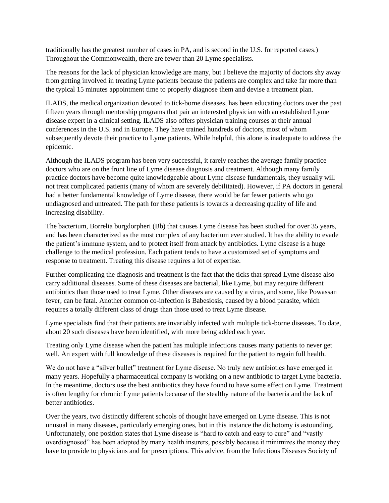traditionally has the greatest number of cases in PA, and is second in the U.S. for reported cases.) Throughout the Commonwealth, there are fewer than 20 Lyme specialists.

The reasons for the lack of physician knowledge are many, but I believe the majority of doctors shy away from getting involved in treating Lyme patients because the patients are complex and take far more than the typical 15 minutes appointment time to properly diagnose them and devise a treatment plan.

ILADS, the medical organization devoted to tick-borne diseases, has been educating doctors over the past fifteen years through mentorship programs that pair an interested physician with an established Lyme disease expert in a clinical setting. ILADS also offers physician training courses at their annual conferences in the U.S. and in Europe. They have trained hundreds of doctors, most of whom subsequently devote their practice to Lyme patients. While helpful, this alone is inadequate to address the epidemic.

Although the ILADS program has been very successful, it rarely reaches the average family practice doctors who are on the front line of Lyme disease diagnosis and treatment. Although many family practice doctors have become quite knowledgeable about Lyme disease fundamentals, they usually will not treat complicated patients (many of whom are severely debilitated). However, if PA doctors in general had a better fundamental knowledge of Lyme disease, there would be far fewer patients who go undiagnosed and untreated. The path for these patients is towards a decreasing quality of life and increasing disability.

The bacterium, Borrelia burgdorpheri (Bb) that causes Lyme disease has been studied for over 35 years, and has been characterized as the most complex of any bacterium ever studied. It has the ability to evade the patient's immune system, and to protect itself from attack by antibiotics. Lyme disease is a huge challenge to the medical profession. Each patient tends to have a customized set of symptoms and response to treatment. Treating this disease requires a lot of expertise.

Further complicating the diagnosis and treatment is the fact that the ticks that spread Lyme disease also carry additional diseases. Some of these diseases are bacterial, like Lyme, but may require different antibiotics than those used to treat Lyme. Other diseases are caused by a virus, and some, like Powassan fever, can be fatal. Another common co-infection is Babesiosis, caused by a blood parasite, which requires a totally different class of drugs than those used to treat Lyme disease.

Lyme specialists find that their patients are invariably infected with multiple tick-borne diseases. To date, about 20 such diseases have been identified, with more being added each year.

Treating only Lyme disease when the patient has multiple infections causes many patients to never get well. An expert with full knowledge of these diseases is required for the patient to regain full health.

We do not have a "silver bullet" treatment for Lyme disease. No truly new antibiotics have emerged in many years. Hopefully a pharmaceutical company is working on a new antibiotic to target Lyme bacteria. In the meantime, doctors use the best antibiotics they have found to have some effect on Lyme. Treatment is often lengthy for chronic Lyme patients because of the stealthy nature of the bacteria and the lack of better antibiotics.

Over the years, two distinctly different schools of thought have emerged on Lyme disease. This is not unusual in many diseases, particularly emerging ones, but in this instance the dichotomy is astounding. Unfortunately, one position states that Lyme disease is "hard to catch and easy to cure" and "vastly overdiagnosed" has been adopted by many health insurers, possibly because it minimizes the money they have to provide to physicians and for prescriptions. This advice, from the Infectious Diseases Society of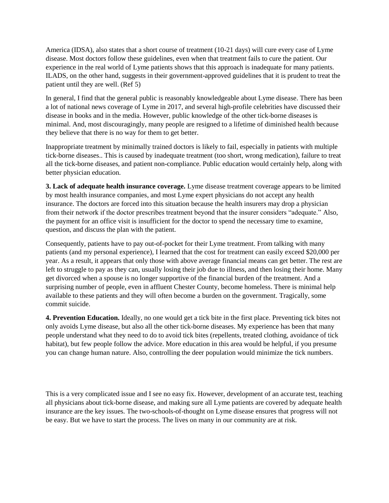America (IDSA), also states that a short course of treatment (10-21 days) will cure every case of Lyme disease. Most doctors follow these guidelines, even when that treatment fails to cure the patient. Our experience in the real world of Lyme patients shows that this approach is inadequate for many patients. ILADS, on the other hand, suggests in their government-approved guidelines that it is prudent to treat the patient until they are well. (Ref 5)

In general, I find that the general public is reasonably knowledgeable about Lyme disease. There has been a lot of national news coverage of Lyme in 2017, and several high-profile celebrities have discussed their disease in books and in the media. However, public knowledge of the other tick-borne diseases is minimal. And, most discouragingly, many people are resigned to a lifetime of diminished health because they believe that there is no way for them to get better.

Inappropriate treatment by minimally trained doctors is likely to fail, especially in patients with multiple tick-borne diseases.. This is caused by inadequate treatment (too short, wrong medication), failure to treat all the tick-borne diseases, and patient non-compliance. Public education would certainly help, along with better physician education.

**3. Lack of adequate health insurance coverage.** Lyme disease treatment coverage appears to be limited by most health insurance companies, and most Lyme expert physicians do not accept any health insurance. The doctors are forced into this situation because the health insurers may drop a physician from their network if the doctor prescribes treatment beyond that the insurer considers "adequate." Also, the payment for an office visit is insufficient for the doctor to spend the necessary time to examine, question, and discuss the plan with the patient.

Consequently, patients have to pay out-of-pocket for their Lyme treatment. From talking with many patients (and my personal experience), I learned that the cost for treatment can easily exceed \$20,000 per year. As a result, it appears that only those with above average financial means can get better. The rest are left to struggle to pay as they can, usually losing their job due to illness, and then losing their home. Many get divorced when a spouse is no longer supportive of the financial burden of the treatment. And a surprising number of people, even in affluent Chester County, become homeless. There is minimal help available to these patients and they will often become a burden on the government. Tragically, some commit suicide.

**4. Prevention Education.** Ideally, no one would get a tick bite in the first place. Preventing tick bites not only avoids Lyme disease, but also all the other tick-borne diseases. My experience has been that many people understand what they need to do to avoid tick bites (repellents, treated clothing, avoidance of tick habitat), but few people follow the advice. More education in this area would be helpful, if you presume you can change human nature. Also, controlling the deer population would minimize the tick numbers.

This is a very complicated issue and I see no easy fix. However, development of an accurate test, teaching all physicians about tick-borne disease, and making sure all Lyme patients are covered by adequate health insurance are the key issues. The two-schools-of-thought on Lyme disease ensures that progress will not be easy. But we have to start the process. The lives on many in our community are at risk.